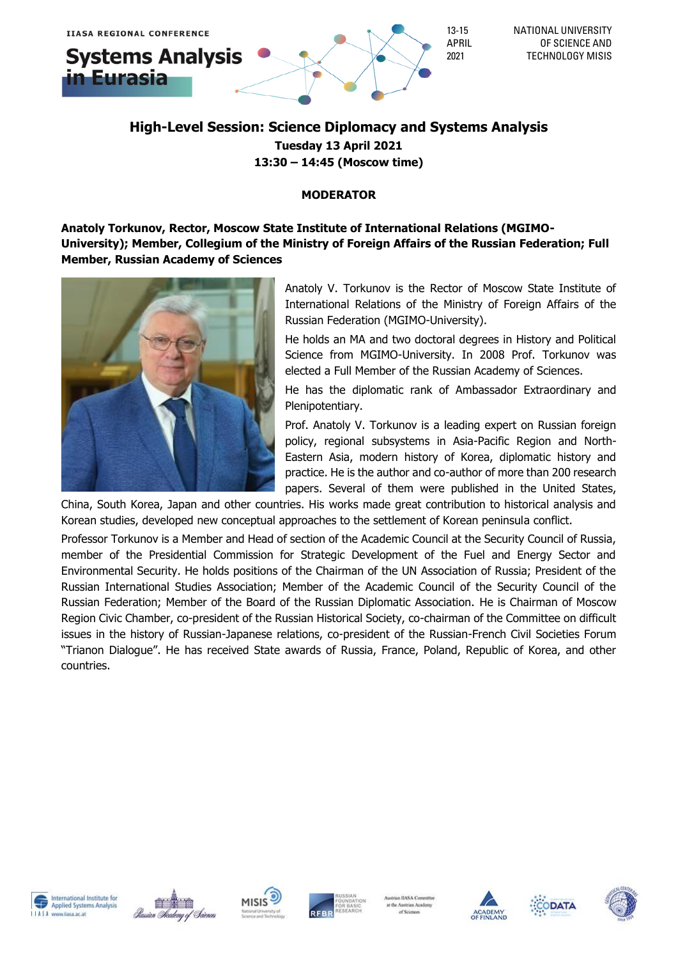# **Systems Analysis** n Eurasia



### **High-Level Session: Science Diplomacy and Systems Analysis Tuesday 13 April 2021 13:30 – 14:45 (Moscow time)**

### **MODERATOR**

**Anatoly Torkunov, Rector, Moscow State Institute of International Relations (MGIMO-University); Member, Collegium of the Ministry of Foreign Affairs of the Russian Federation; Full Member, Russian Academy of Sciences**



Anatoly V. Torkunov is the Rector of Moscow State Institute of International Relations of the Ministry of Foreign Affairs of the Russian Federation (MGIMO-University).

He holds an MA and two doctoral degrees in History and Political Science from MGIMO-University. In 2008 Prof. Torkunov was elected a Full Member of the Russian Academy of Sciences.

He has the diplomatic rank of Ambassador Extraordinary and Plenipotentiary.

Prof. Anatoly V. Torkunov is a leading expert on Russian foreign policy, regional subsystems in Asia-Pacific Region and North-Eastern Asia, modern history of Korea, diplomatic history and practice. He is the author and co-author of more than 200 research papers. Several of them were published in the United States,

China, South Korea, Japan and other countries. His works made great contribution to historical analysis and Korean studies, developed new conceptual approaches to the settlement of Korean peninsula conflict.

Professor Torkunov is a Member and Head of section of the Academic Council at the Security Council of Russia, member of the Presidential Commission for Strategic Development of the Fuel and Energy Sector and Environmental Security. He holds positions of the Chairman of the UN Association of Russia; President of the Russian International Studies Association; Member of the Academic Council of the Security Council of the Russian Federation; Member of the Board of the Russian Diplomatic Association. Нe is Chairman of Moscow Region Civic Chamber, co-president of the Russian Historical Society, co-chairman of the Committee on difficult issues in the history of Russian-Japanese relations, co-president of the Russian-French Civil Societies Forum "Trianon Dialogue". He has received State awards of Russia, France, Poland, Republic of Korea, and other countries.











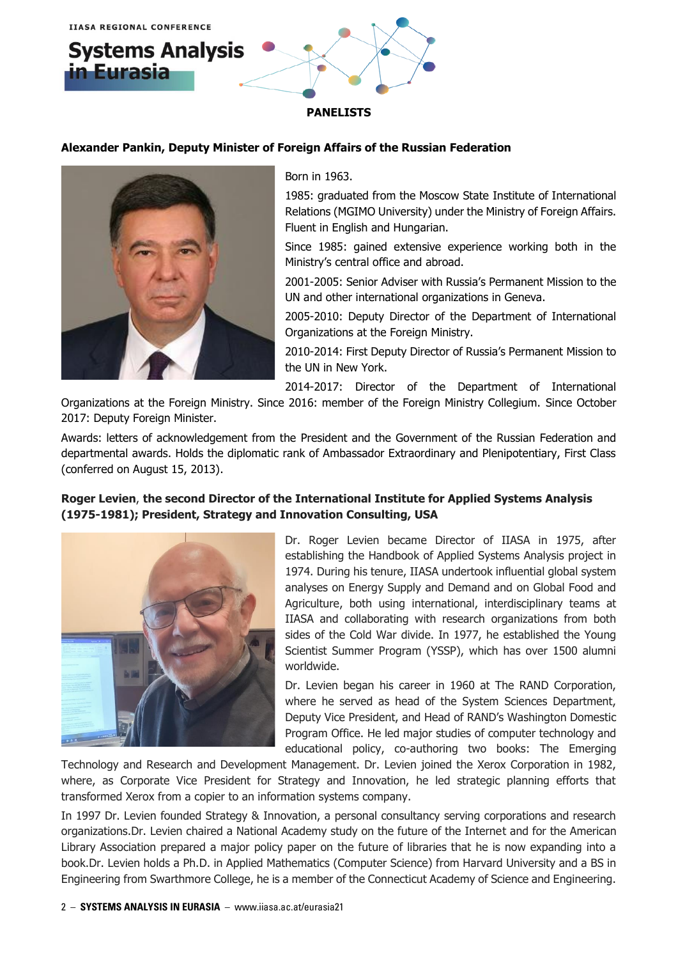

#### **Alexander Pankin, Deputy Minister of Foreign Affairs of the Russian Federation**



Born in 1963.

1985: graduated from the Moscow State Institute of International Relations (MGIMO University) under the Ministry of Foreign Affairs. Fluent in English and Hungarian.

Since 1985: gained extensive experience working both in the Ministry's central office and abroad.

2001-2005: Senior Adviser with Russia's Permanent Mission to the UN and other international organizations in Geneva.

2005-2010: Deputy Director of the Department of International Organizations at the Foreign Ministry.

2010-2014: First Deputy Director of Russia's Permanent Mission to the UN in New York.

2014-2017: Director of the Department of International

Organizations at the Foreign Ministry. Since 2016: member of the Foreign Ministry Collegium. Since October 2017: Deputy Foreign Minister.

Awards: letters of acknowledgement from the President and the Government of the Russian Federation and departmental awards. Holds the diplomatic rank of Ambassador Extraordinary and Plenipotentiary, First Class (conferred on August 15, 2013).

#### **Roger Levien**, **the second Director of the International Institute for Applied Systems Analysis (1975-1981); President, Strategy and Innovation Consulting, USA**



Dr. Roger Levien became Director of IIASA in 1975, after establishing the Handbook of Applied Systems Analysis project in 1974. During his tenure, IIASA undertook influential global system analyses on Energy Supply and Demand and on Global Food and Agriculture, both using international, interdisciplinary teams at IIASA and collaborating with research organizations from both sides of the Cold War divide. In 1977, he established the Young Scientist Summer Program (YSSP), which has over 1500 alumni worldwide.

Dr. Levien began his career in 1960 at The RAND Corporation, where he served as head of the System Sciences Department, Deputy Vice President, and Head of RAND's Washington Domestic Program Office. He led major studies of computer technology and educational policy, co-authoring two books: The Emerging

Technology and Research and Development Management. Dr. Levien joined the Xerox Corporation in 1982, where, as Corporate Vice President for Strategy and Innovation, he led strategic planning efforts that transformed Xerox from a copier to an information systems company.

In 1997 Dr. Levien founded Strategy & Innovation, a personal consultancy serving corporations and research organizations.Dr. Levien chaired a National Academy study on the future of the Internet and for the American Library Association prepared a major policy paper on the future of libraries that he is now expanding into a book.Dr. Levien holds a Ph.D. in Applied Mathematics (Computer Science) from Harvard University and a BS in Engineering from Swarthmore College, he is a member of the Connecticut Academy of Science and Engineering.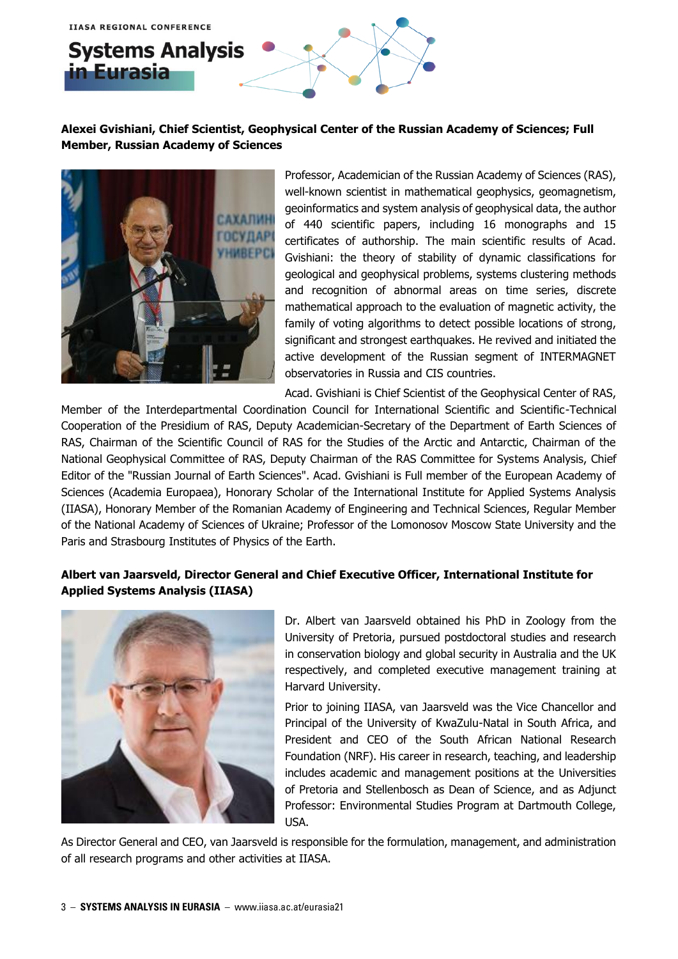## **Systems Analysis** in Eurasia

### **Alexei Gvishiani, Chief Scientist, Geophysical Center of the Russian Academy of Sciences; Full Member, Russian Academy of Sciences**



Professor, Academician of the Russian Academy of Sciences (RAS), well-known scientist in mathematical geophysics, geomagnetism, geoinformatics and system analysis of geophysical data, the author of 440 scientific papers, including 16 monographs and 15 certificates of authorship. The main scientific results of Acad. Gvishiani: the theory of stability of dynamic classifications for geological and geophysical problems, systems clustering methods and recognition of abnormal areas on time series, discrete mathematical approach to the evaluation of magnetic activity, the family of voting algorithms to detect possible locations of strong, significant and strongest earthquakes. He revived and initiated the active development of the Russian segment of INTERMAGNET observatories in Russia and CIS countries.

Acad. Gvishiani is Chief Scientist of the Geophysical Center of RAS,

Member of the Interdepartmental Coordination Council for International Scientific and Scientific-Technical Cooperation of the Presidium of RAS, Deputy Academician-Secretary of the Department of Earth Sciences of RAS, Chairman of the Scientific Council of RAS for the Studies of the Arctic and Antarctic, Chairman of the National Geophysical Committee of RAS, Deputy Chairman of the RAS Committee for Systems Analysis, Chief Editor of the "Russian Journal of Earth Sciences". Acad. Gvishiani is Full member of the European Academy of Sciences (Academia Europaea), Honorary Scholar of the International Institute for Applied Systems Analysis (IIASA), Honorary Member of the Romanian Academy of Engineering and Technical Sciences, Regular Member of the National Academy of Sciences of Ukraine; Professor of the Lomonosov Moscow State University and the Paris and Strasbourg Institutes of Physics of the Earth.

### **Albert van Jaarsveld, Director General and Chief Executive Officer, International Institute for Applied Systems Analysis (IIASA)**



Dr. Albert van Jaarsveld obtained his PhD in Zoology from the University of Pretoria, pursued postdoctoral studies and research in conservation biology and global security in Australia and the UK respectively, and completed executive management training at Harvard University.

Prior to joining IIASA, van Jaarsveld was the Vice Chancellor and Principal of the University of KwaZulu-Natal in South Africa, and President and CEO of the South African National Research Foundation (NRF). His career in research, teaching, and leadership includes academic and management positions at the Universities of Pretoria and Stellenbosch as Dean of Science, and as Adjunct Professor: Environmental Studies Program at Dartmouth College, USA.

As Director General and CEO, van Jaarsveld is responsible for the formulation, management, and administration of all research programs and other activities at IIASA.